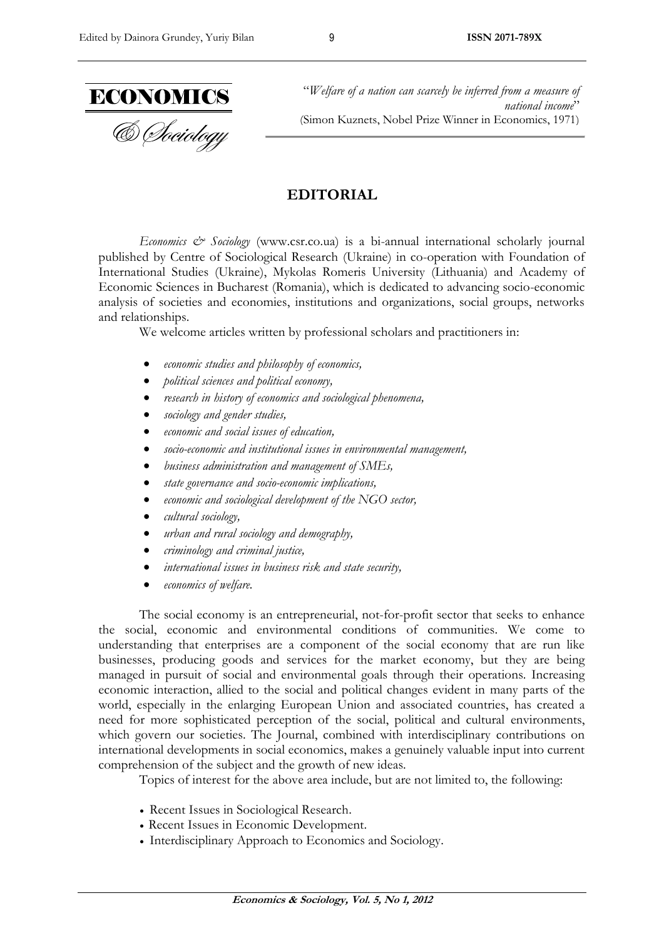

"*Welfare of a nation can scarcely be inferred from a measure of national income*" (Simon Kuznets, Nobel Prize Winner in Economics, 1971)

## **EDITORIAL**

*Economics & Sociology* (www.csr.co.ua) is a bi-annual international scholarly journal published by Centre of Sociological Research (Ukraine) in co-operation with Foundation of International Studies (Ukraine), Mykolas Romeris University (Lithuania) and Academy of Economic Sciences in Bucharest (Romania), which is dedicated to advancing socio-economic analysis of societies and economies, institutions and organizations, social groups, networks and relationships.

We welcome articles written by professional scholars and practitioners in:

- *economic studies and philosophy of economics,*
- *political sciences and political economy,*
- *research in history of economics and sociological phenomena,*
- *sociology and gender studies,*
- *economic and social issues of education,*
- *socio-economic and institutional issues in environmental management,*
- *business administration and management of SMEs,*
- *state governance and socio-economic implications,*
- *economic and sociological development of the NGO sector,*
- *cultural sociology,*
- *urban and rural sociology and demography,*
- *criminology and criminal justice,*
- *international issues in business risk and state security,*
- *economics of welfare.*

The social economy is an entrepreneurial, not-for-profit sector that seeks to enhance the social, economic and environmental conditions of communities. We come to understanding that enterprises are a component of the social economy that are run like businesses, producing goods and services for the market economy, but they are being managed in pursuit of social and environmental goals through their operations. Increasing economic interaction, allied to the social and political changes evident in many parts of the world, especially in the enlarging European Union and associated countries, has created a need for more sophisticated perception of the social, political and cultural environments, which govern our societies. The Journal, combined with interdisciplinary contributions on international developments in social economics, makes a genuinely valuable input into current comprehension of the subject and the growth of new ideas.

Topics of interest for the above area include, but are not limited to, the following:

- Recent Issues in Sociological Research.
- Recent Issues in Economic Development.
- Interdisciplinary Approach to Economics and Sociology.